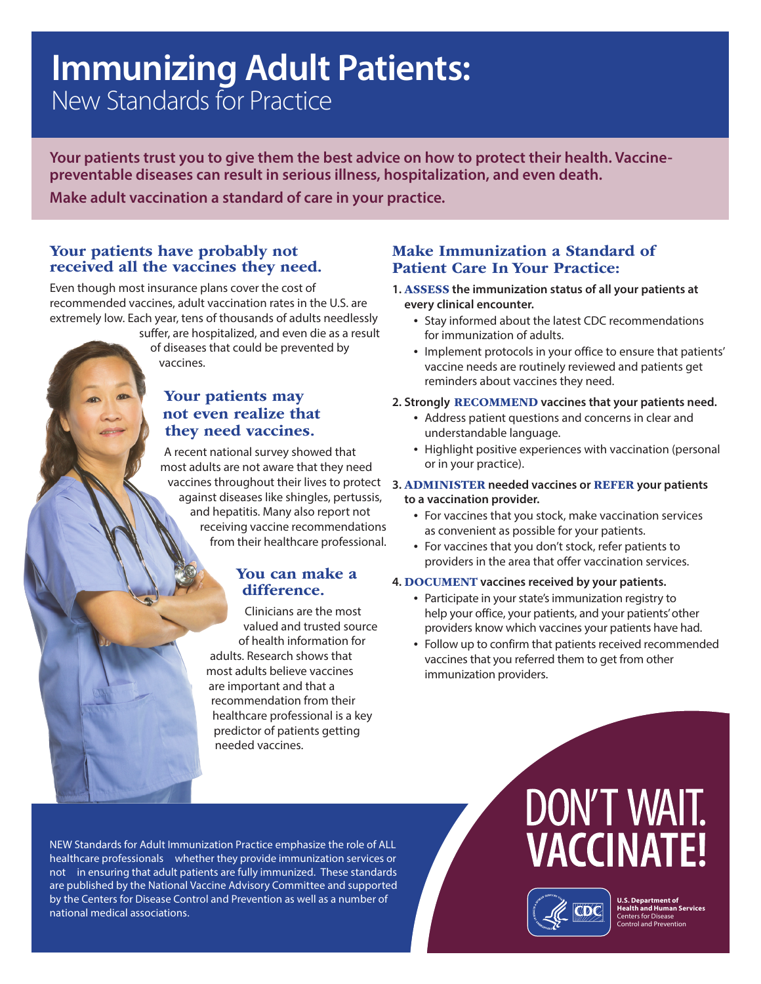# **Immunizing Adult Patients:**<br>New Standards for Practice

**Your patients trust you to give them the best advice on how to protect their health. Vaccinepreventable diseases can result in serious illness, hospitalization, and even death.** 

**Make adult vaccination a standard of care in your practice.** 

#### Your patients have probably not received all the vaccines they need.

Even though most insurance plans cover the cost of recommended vaccines, adult vaccination rates in the U.S. are extremely low. Each year, tens of thousands of adults needlessly

> suffer, are hospitalized, and even die as a result of diseases that could be prevented by vaccines.

#### Your patients may not even realize that they need vaccines.

A recent national survey showed that most adults are not aware that they need vaccines throughout their lives to protect against diseases like shingles, pertussis, and hepatitis. Many also report not receiving vaccine recommendations from their healthcare professional.

#### You can make a difference.

Clinicians are the most valued and trusted source of health information for adults. Research shows that most adults believe vaccines are important and that a recommendation from their healthcare professional is a key predictor of patients getting needed vaccines.

#### Make Immunization a Standard of Patient Care In Your Practice:

- **1.** ASSESS **the immunization status of all your patients at every clinical encounter.** 
	- Stay informed about the latest CDC recommendations for immunization of adults.
	- Implement protocols in your office to ensure that patients' vaccine needs are routinely reviewed and patients get reminders about vaccines they need.

#### **2. Strongly** RECOMMEND **vaccines that your patients need.**

- Address patient questions and concerns in clear and understandable language.
- Highlight positive experiences with vaccination (personal or in your practice).

#### **3.** ADMINISTER **needed vaccines or** REFER **your patients to a vaccination provider.**

- For vaccines that you stock, make vaccination services as convenient as possible for your patients.
- For vaccines that you don't stock, refer patients to providers in the area that offer vaccination services.

#### **4.** DOCUMENT **vaccines received by your patients.**

- Participate in your state's immunization registry to help your office, your patients, and your patients' other providers know which vaccines your patients have had.
- Follow up to confirm that patients received recommended vaccines that you referred them to get from other immunization providers.

NEW Standards for Adult Immunization Practice emphasize the role of ALL healthcare professionals whether they provide immunization services or not in ensuring that adult patients are fully immunized. These standards are published by the National Vaccine Advisory Committee and supported by the Centers for Disease Control and Prevention as well as a number of national medical associations.

## **DON'T WAIT. VACCINATE!**



**U.S. Department of Health and Human Services**  Centers for Disease Control and Prevention